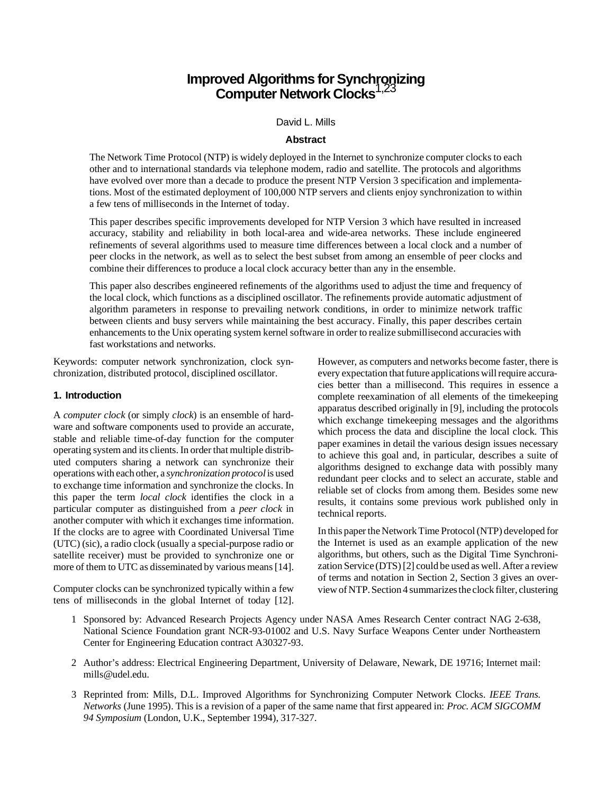# **Improved Algorithms for Synchronizing Computer Network Clocks**1,23

David L. Mills

#### **Abstract**

The Network Time Protocol (NTP) is widely deployed in the Internet to synchronize computer clocks to each other and to international standards via telephone modem, radio and satellite. The protocols and algorithms have evolved over more than a decade to produce the present NTP Version 3 specification and implementations. Most of the estimated deployment of 100,000 NTP servers and clients enjoy synchronization to within a few tens of milliseconds in the Internet of today.

This paper describes specific improvements developed for NTP Version 3 which have resulted in increased accuracy, stability and reliability in both local-area and wide-area networks. These include engineered refinements of several algorithms used to measure time differences between a local clock and a number of peer clocks in the network, as well as to select the best subset from among an ensemble of peer clocks and combine their differences to produce a local clock accuracy better than any in the ensemble.

This paper also describes engineered refinements of the algorithms used to adjust the time and frequency of the local clock, which functions as a disciplined oscillator. The refinements provide automatic adjustment of algorithm parameters in response to prevailing network conditions, in order to minimize network traffic between clients and busy servers while maintaining the best accuracy. Finally, this paper describes certain enhancements to the Unix operating system kernel software in order to realize submillisecond accuracies with fast workstations and networks.

Keywords: computer network synchronization, clock synchronization, distributed protocol, disciplined oscillator.

### **1. Introduction**

A *computer clock* (or simply *clock*) is an ensemble of hardware and software components used to provide an accurate, stable and reliable time-of-day function for the computer operating system and its clients. In order that multiple distributed computers sharing a network can synchronize their operations with each other, a *synchronization protocol* is used to exchange time information and synchronize the clocks. In this paper the term *local clock* identifies the clock in a particular computer as distinguished from a *peer clock* in another computer with which it exchanges time information. If the clocks are to agree with Coordinated Universal Time (UTC) (sic), a radio clock (usually a special-purpose radio or satellite receiver) must be provided to synchronize one or more of them to UTC as disseminated by various means [14].

Computer clocks can be synchronized typically within a few tens of milliseconds in the global Internet of today [12]. However, as computers and networks become faster, there is every expectation that future applications will require accuracies better than a millisecond. This requires in essence a complete reexamination of all elements of the timekeeping apparatus described originally in [9], including the protocols which exchange timekeeping messages and the algorithms which process the data and discipline the local clock. This paper examines in detail the various design issues necessary to achieve this goal and, in particular, describes a suite of algorithms designed to exchange data with possibly many redundant peer clocks and to select an accurate, stable and reliable set of clocks from among them. Besides some new results, it contains some previous work published only in technical reports.

In this paper the Network Time Protocol (NTP) developed for the Internet is used as an example application of the new algorithms, but others, such as the Digital Time Synchronization Service (DTS) [2] could be used as well. After a review of terms and notation in Section 2, Section 3 gives an overview of NTP. Section 4 summarizes the clock filter, clustering

- 1 Sponsored by: Advanced Research Projects Agency under NASA Ames Research Center contract NAG 2-638, National Science Foundation grant NCR-93-01002 and U.S. Navy Surface Weapons Center under Northeastern Center for Engineering Education contract A30327-93.
- 2 Author's address: Electrical Engineering Department, University of Delaware, Newark, DE 19716; Internet mail: mills@udel.edu.
- 3 Reprinted from: Mills, D.L. Improved Algorithms for Synchronizing Computer Network Clocks. *IEEE Trans. Networks* (June 1995). This is a revision of a paper of the same name that first appeared in: *Proc. ACM SIGCOMM 94 Symposium* (London, U.K., September 1994), 317-327.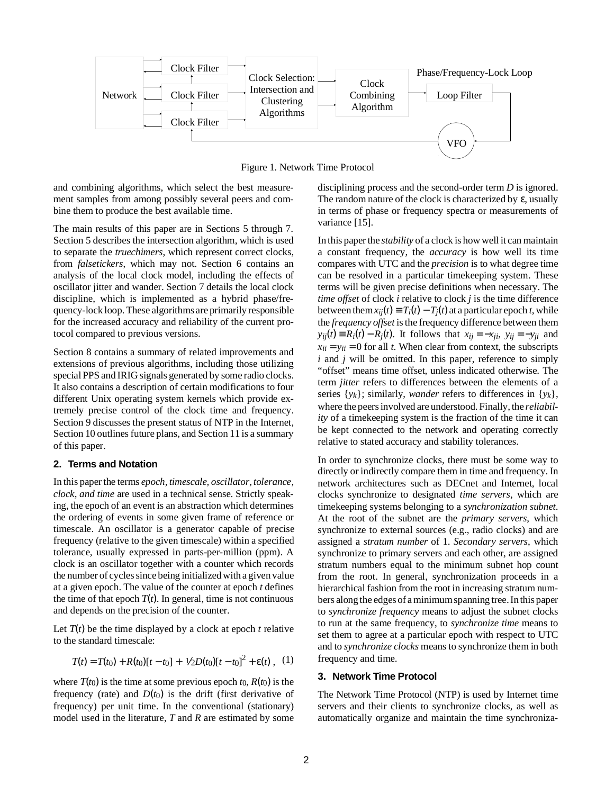

Figure 1. Network Time Protocol

and combining algorithms, which select the best measurement samples from among possibly several peers and combine them to produce the best available time.

The main results of this paper are in Sections 5 through 7. Section 5 describes the intersection algorithm, which is used to separate the *truechimers*, which represent correct clocks, from *falsetickers*, which may not. Section 6 contains an analysis of the local clock model, including the effects of oscillator jitter and wander. Section 7 details the local clock discipline, which is implemented as a hybrid phase/frequency-lock loop. These algorithms are primarily responsible for the increased accuracy and reliability of the current protocol compared to previous versions.

Section 8 contains a summary of related improvements and extensions of previous algorithms, including those utilizing special PPS and IRIG signals generated by some radio clocks. It also contains a description of certain modifications to four different Unix operating system kernels which provide extremely precise control of the clock time and frequency. Section 9 discusses the present status of NTP in the Internet, Section 10 outlines future plans, and Section 11 is a summary of this paper.

#### **2. Terms and Notation**

In this paper the terms *epoch, timescale, oscillator, tolerance, clock, and time* are used in a technical sense. Strictly speaking, the epoch of an event is an abstraction which determines the ordering of events in some given frame of reference or timescale. An oscillator is a generator capable of precise frequency (relative to the given timescale) within a specified tolerance, usually expressed in parts-per-million (ppm). A clock is an oscillator together with a counter which records the number of cycles since being initialized with a given value at a given epoch. The value of the counter at epoch *t* defines the time of that epoch  $T(t)$ . In general, time is not continuous and depends on the precision of the counter.

Let  $T(t)$  be the time displayed by a clock at epoch  $t$  relative to the standard timescale:

$$
T(t) = T(t_0) + R(t_0)[t - t_0] + \frac{1}{2}D(t_0)[t - t_0]^2 + \varepsilon(t), \quad (1)
$$

where  $T(t_0)$  is the time at some previous epoch  $t_0$ ,  $R(t_0)$  is the frequency (rate) and  $D(t_0)$  is the drift (first derivative of frequency) per unit time. In the conventional (stationary) model used in the literature, *T* and *R* are estimated by some

disciplining process and the second-order term *D* is ignored. The random nature of the clock is characterized by  $\varepsilon$ , usually in terms of phase or frequency spectra or measurements of variance [15].

In this paper the *stability* of a clock is how well it can maintain a constant frequency, the *accuracy* is how well its time compares with UTC and the *precision* is to what degree time can be resolved in a particular timekeeping system. These terms will be given precise definitions when necessary. The *time offset* of clock *i* relative to clock *j* is the time difference between them  $x_{ij}(t) = T_i(t) - T_j(t)$  at a particular epoch *t*, while the *frequency offset* is the frequency difference between them  $y_{ij}(t) \equiv R_i(t) - R_j(t)$ . It follows that  $x_{ij} = -x_{ji}$ ,  $y_{ij} = -y_{ji}$  and  $x_{ii} = y_{ii} = 0$  for all *t*. When clear from context, the subscripts *i* and *j* will be omitted. In this paper, reference to simply "offset" means time offset, unless indicated otherwise. The term *jitter* refers to differences between the elements of a series  $\{y_k\}$ ; similarly, *wander* refers to differences in  $\{y_k\}$ , where the peers involved are understood. Finally, the *reliability* of a timekeeping system is the fraction of the time it can be kept connected to the network and operating correctly relative to stated accuracy and stability tolerances.

In order to synchronize clocks, there must be some way to directly or indirectly compare them in time and frequency. In network architectures such as DECnet and Internet, local clocks synchronize to designated *time servers*, which are timekeeping systems belonging to a *synchronization subnet*. At the root of the subnet are the *primary servers*, which synchronize to external sources (e.g., radio clocks) and are assigned a *stratum number* of 1. *Secondary servers*, which synchronize to primary servers and each other, are assigned stratum numbers equal to the minimum subnet hop count from the root. In general, synchronization proceeds in a hierarchical fashion from the root in increasing stratum numbers along the edges of a minimum spanning tree. In this paper to *synchronize frequency* means to adjust the subnet clocks to run at the same frequency, to *synchronize time* means to set them to agree at a particular epoch with respect to UTC and to *synchronize clocks* means to synchronize them in both frequency and time.

#### **3. Network Time Protocol**

The Network Time Protocol (NTP) is used by Internet time servers and their clients to synchronize clocks, as well as automatically organize and maintain the time synchroniza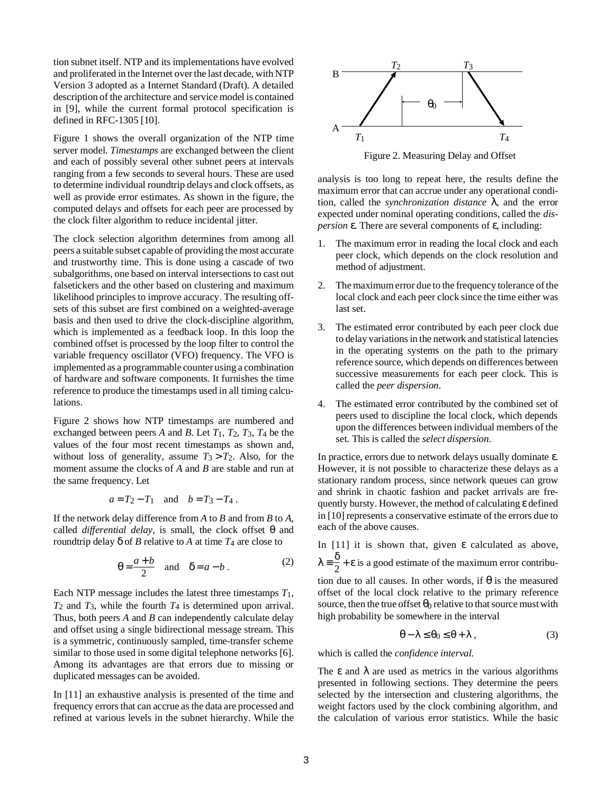tion subnet itself. NTP and its implementations have evolved and proliferated in the Internet over the last decade, with NTP Version 3 adopted as a Internet Standard (Draft). A detailed description of the architecture and service model is contained in [9], while the current formal protocol specification is defined in RFC-1305 [10].

Figure 1 shows the overall organization of the NTP time server model. *Timestamps* are exchanged between the client and each of possibly several other subnet peers at intervals ranging from a few seconds to several hours. These are used to determine individual roundtrip delays and clock offsets, as well as provide error estimates. As shown in the figure, the computed delays and offsets for each peer are processed by the clock filter algorithm to reduce incidental jitter.

The clock selection algorithm determines from among all peers a suitable subset capable of providing the most accurate and trustworthy time. This is done using a cascade of two subalgorithms, one based on interval intersections to cast out falsetickers and the other based on clustering and maximum likelihood principles to improve accuracy. The resulting offsets of this subset are first combined on a weighted-average basis and then used to drive the clock-discipline algorithm, which is implemented as a feedback loop. In this loop the combined offset is processed by the loop filter to control the variable frequency oscillator (VFO) frequency. The VFO is implemented as a programmable counter using a combination of hardware and software components. It furnishes the time reference to produce the timestamps used in all timing calculations.

Figure 2 shows how NTP timestamps are numbered and exchanged between peers *A* and *B*. Let *T*1, *T*2, *T*3, *T*4 be the values of the four most recent timestamps as shown and, without loss of generality, assume  $T_3 > T_2$ . Also, for the moment assume the clocks of *A* and *B* are stable and run at the same frequency. Let

$$
a = T_2 - T_1
$$
 and  $b = T_3 - T_4$ .

If the network delay difference from *A* to *B* and from *B* to *A*, called *differential delay*, is small, the clock offset θ and roundtrip delay  $\delta$  of *B* relative to *A* at time  $T_4$  are close to

$$
\theta = \frac{a+b}{2} \quad \text{and} \quad \delta = a-b \ . \tag{2}
$$

Each NTP message includes the latest three timestamps *T*1, *T*2 and *T*3, while the fourth *T*4 is determined upon arrival. Thus, both peers *A* and *B* can independently calculate delay and offset using a single bidirectional message stream. This is a symmetric, continuously sampled, time-transfer scheme similar to those used in some digital telephone networks [6]. Among its advantages are that errors due to missing or duplicated messages can be avoided.

In [11] an exhaustive analysis is presented of the time and frequency errors that can accrue as the data are processed and refined at various levels in the subnet hierarchy. While the



Figure 2. Measuring Delay and Offset

analysis is too long to repeat here, the results define the maximum error that can accrue under any operational condition, called the *synchronization distance* λ, and the error expected under nominal operating conditions, called the *dispersion* ε. There are several components of ε, including:

- The maximum error in reading the local clock and each peer clock, which depends on the clock resolution and method of adjustment.
- 2. The maximum error due to the frequency tolerance of the local clock and each peer clock since the time either was last set.
- 3. The estimated error contributed by each peer clock due to delay variations in the network and statistical latencies in the operating systems on the path to the primary reference source, which depends on differences between successive measurements for each peer clock. This is called the *peer dispersion*.
- 4. The estimated error contributed by the combined set of peers used to discipline the local clock, which depends upon the differences between individual members of the set. This is called the *select dispersion*.

In practice, errors due to network delays usually dominate ε. However, it is not possible to characterize these delays as a stationary random process, since network queues can grow and shrink in chaotic fashion and packet arrivals are frequently bursty. However, the method of calculating ε defined in [10] represents a conservative estimate of the errors due to each of the above causes.

In  $[11]$  it is shown that, given  $\varepsilon$  calculated as above,  $\lambda = \frac{\delta}{2} + \varepsilon$  is a good estimate of the maximum error contribution due to all causes. In other words, if  $\theta$  is the measured offset of the local clock relative to the primary reference source, then the true offset  $\theta_0$  relative to that source must with high probability be somewhere in the interval

$$
\theta - \lambda \le \theta_0 \le \theta + \lambda \tag{3}
$$

which is called the *confidence interval.*

The  $\varepsilon$  and  $\lambda$  are used as metrics in the various algorithms presented in following sections. They determine the peers selected by the intersection and clustering algorithms, the weight factors used by the clock combining algorithm, and the calculation of various error statistics. While the basic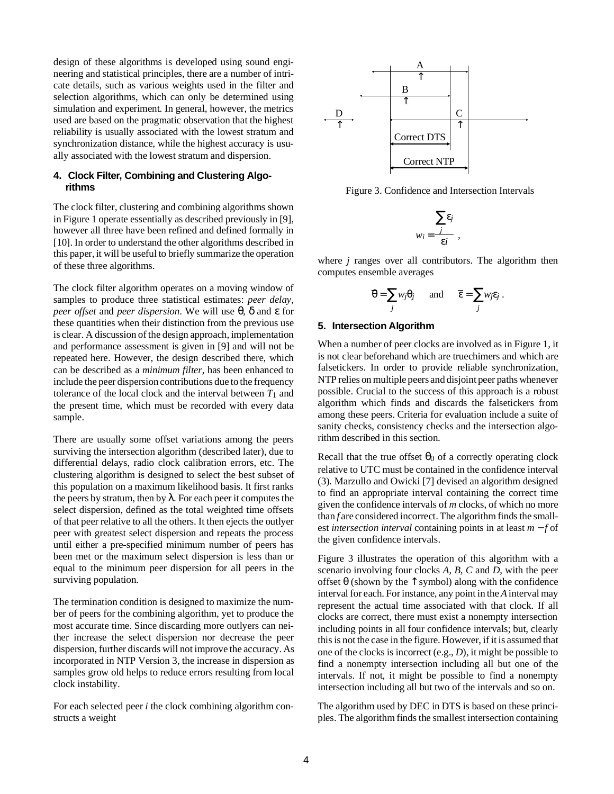design of these algorithms is developed using sound engineering and statistical principles, there are a number of intricate details, such as various weights used in the filter and selection algorithms, which can only be determined using simulation and experiment. In general, however, the metrics used are based on the pragmatic observation that the highest reliability is usually associated with the lowest stratum and synchronization distance, while the highest accuracy is usually associated with the lowest stratum and dispersion.

## **4. Clock Filter, Combining and Clustering Algorithms**

The clock filter, clustering and combining algorithms shown in Figure 1 operate essentially as described previously in [9], however all three have been refined and defined formally in [10]. In order to understand the other algorithms described in this paper, it will be useful to briefly summarize the operation of these three algorithms.

The clock filter algorithm operates on a moving window of samples to produce three statistical estimates: *peer delay*, *peer offset* and *peer dispersion*. We will use θ, δ and ε for these quantities when their distinction from the previous use is clear. A discussion of the design approach, implementation and performance assessment is given in [9] and will not be repeated here. However, the design described there, which can be described as a *minimum filter*, has been enhanced to include the peer dispersion contributions due to the frequency tolerance of the local clock and the interval between  $T_1$  and the present time, which must be recorded with every data sample.

There are usually some offset variations among the peers surviving the intersection algorithm (described later), due to differential delays, radio clock calibration errors, etc. The clustering algorithm is designed to select the best subset of this population on a maximum likelihood basis. It first ranks the peers by stratum, then by  $\lambda$ . For each peer it computes the select dispersion, defined as the total weighted time offsets of that peer relative to all the others. It then ejects the outlyer peer with greatest select dispersion and repeats the process until either a pre-specified minimum number of peers has been met or the maximum select dispersion is less than or equal to the minimum peer dispersion for all peers in the surviving population.

The termination condition is designed to maximize the number of peers for the combining algorithm, yet to produce the most accurate time. Since discarding more outlyers can neither increase the select dispersion nor decrease the peer dispersion, further discards will not improve the accuracy. As incorporated in NTP Version 3, the increase in dispersion as samples grow old helps to reduce errors resulting from local clock instability.

For each selected peer *i* the clock combining algorithm constructs a weight



Figure 3. Confidence and Intersection Intervals

$$
w_i = \frac{\sum \varepsilon_j}{\varepsilon i} ,
$$

where *j* ranges over all contributors. The algorithm then computes ensemble averages

$$
\overline{\theta} = \sum_j w_j \theta_j \quad \text{and} \quad \overline{\epsilon} = \sum_j w_j \epsilon_j.
$$

#### **5. Intersection Algorithm**

When a number of peer clocks are involved as in Figure 1, it is not clear beforehand which are truechimers and which are falsetickers. In order to provide reliable synchronization, NTP relies on multiple peers and disjoint peer paths whenever possible. Crucial to the success of this approach is a robust algorithm which finds and discards the falsetickers from among these peers. Criteria for evaluation include a suite of sanity checks, consistency checks and the intersection algorithm described in this section.

Recall that the true offset  $\theta_0$  of a correctly operating clock relative to UTC must be contained in the confidence interval (3). Marzullo and Owicki [7] devised an algorithm designed to find an appropriate interval containing the correct time given the confidence intervals of *m* clocks, of which no more than *f* are considered incorrect. The algorithm finds the smallest *intersection interval* containing points in at least *m* − *f* of the given confidence intervals.

Figure 3 illustrates the operation of this algorithm with a scenario involving four clocks *A*, *B*, *C* and *D*, with the peer offset  $\theta$  (shown by the  $\hat{\uparrow}$  symbol) along with the confidence interval for each. For instance, any point in the *A* interval may represent the actual time associated with that clock. If all clocks are correct, there must exist a nonempty intersection including points in all four confidence intervals; but, clearly this is not the case in the figure. However, if it is assumed that one of the clocks is incorrect (e.g., *D*), it might be possible to find a nonempty intersection including all but one of the intervals. If not, it might be possible to find a nonempty intersection including all but two of the intervals and so on.

The algorithm used by DEC in DTS is based on these principles. The algorithm finds the smallest intersection containing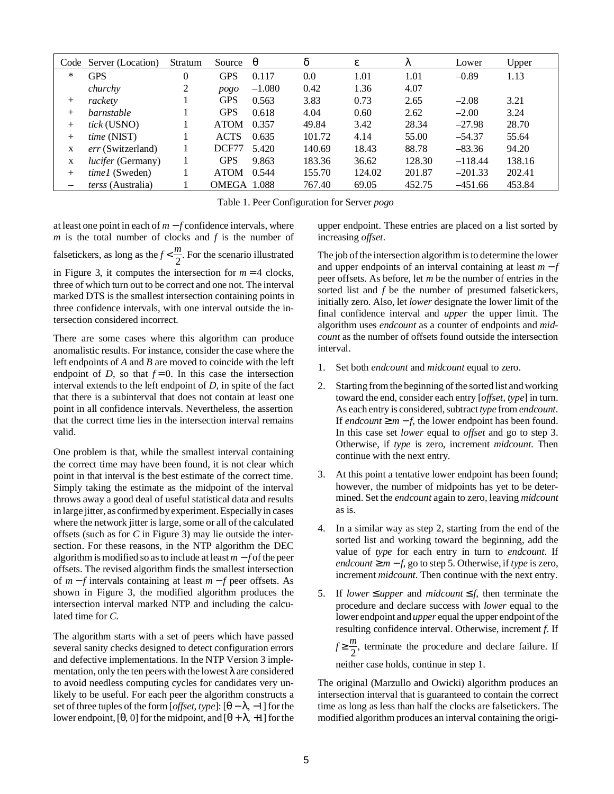|                 | Code Server (Location)   | Stratum | Source             | $\theta$ |        | ε      | λ      | Lower     | Upper  |
|-----------------|--------------------------|---------|--------------------|----------|--------|--------|--------|-----------|--------|
| ∗               | <b>GPS</b>               | 0       | <b>GPS</b>         | 0.117    | 0.0    | 1.01   | 1.01   | $-0.89$   | 1.13   |
|                 | churchy                  | 2       | pogo               | $-1.080$ | 0.42   | 1.36   | 4.07   |           |        |
| $^{+}$          | rackety                  |         | <b>GPS</b>         | 0.563    | 3.83   | 0.73   | 2.65   | $-2.08$   | 3.21   |
| $^{+}$          | <i>barnstable</i>        |         | <b>GPS</b>         | 0.618    | 4.04   | 0.60   | 2.62   | $-2.00$   | 3.24   |
| $^{+}$          | <i>tick</i> (USNO)       |         | <b>ATOM</b>        | 0.357    | 49.84  | 3.42   | 28.34  | $-27.98$  | 28.70  |
| $^{+}$          | time(NIST)               |         | <b>ACTS</b>        | 0.635    | 101.72 | 4.14   | 55.00  | $-54.37$  | 55.64  |
| X               | err (Switzerland)        |         | DCF77              | 5.420    | 140.69 | 18.43  | 88.78  | $-83.36$  | 94.20  |
| X               | <i>lucifer</i> (Germany) |         | <b>GPS</b>         | 9.863    | 183.36 | 36.62  | 128.30 | $-118.44$ | 138.16 |
| $^{+}$          | <i>time1</i> (Sweden)    |         | <b>ATOM</b>        | 0.544    | 155.70 | 124.02 | 201.87 | $-201.33$ | 202.41 |
| $\qquad \qquad$ | <i>terss</i> (Australia) |         | <b>OMEGA 1.088</b> |          | 767.40 | 69.05  | 452.75 | $-451.66$ | 453.84 |

Table 1. Peer Configuration for Server *pogo*

at least one point in each of *m* − *f* confidence intervals, where *m* is the total number of clocks and *f* is the number of falsetickers, as long as the  $f < \frac{m}{2}$ . For the scenario illustrated in Figure 3, it computes the intersection for  $m = 4$  clocks, three of which turn out to be correct and one not. The interval marked DTS is the smallest intersection containing points in three confidence intervals, with one interval outside the intersection considered incorrect.

There are some cases where this algorithm can produce anomalistic results. For instance, consider the case where the left endpoints of *A* and *B* are moved to coincide with the left endpoint of *D*, so that  $f = 0$ . In this case the intersection interval extends to the left endpoint of *D*, in spite of the fact that there is a subinterval that does not contain at least one point in all confidence intervals. Nevertheless, the assertion that the correct time lies in the intersection interval remains valid.

One problem is that, while the smallest interval containing the correct time may have been found, it is not clear which point in that interval is the best estimate of the correct time. Simply taking the estimate as the midpoint of the interval throws away a good deal of useful statistical data and results in large jitter, as confirmed by experiment. Especially in cases where the network jitter is large, some or all of the calculated offsets (such as for *C* in Figure 3) may lie outside the intersection. For these reasons, in the NTP algorithm the DEC algorithm is modified so as to include at least *m* − *f* of the peer offsets. The revised algorithm finds the smallest intersection of *m* − *f* intervals containing at least *m* − *f* peer offsets. As shown in Figure 3, the modified algorithm produces the intersection interval marked NTP and including the calculated time for *C*.

The algorithm starts with a set of peers which have passed several sanity checks designed to detect configuration errors and defective implementations. In the NTP Version 3 implementation, only the ten peers with the lowest  $\lambda$  are considered to avoid needless computing cycles for candidates very unlikely to be useful. For each peer the algorithm constructs a set of three tuples of the form [*offset, type*]:  $[\theta - \lambda, -1]$  for the lower endpoint,  $[\theta, 0]$  for the midpoint, and  $[\theta + \lambda, +1]$  for the upper endpoint. These entries are placed on a list sorted by increasing *offset*.

The job of the intersection algorithm is to determine the lower and upper endpoints of an interval containing at least *m* − *f* peer offsets. As before, let *m* be the number of entries in the sorted list and *f* be the number of presumed falsetickers, initially zero. Also, let *lower* designate the lower limit of the final confidence interval and *upper* the upper limit. The algorithm uses *endcount* as a counter of endpoints and *midcount* as the number of offsets found outside the intersection interval.

- 1. Set both *endcount* and *midcount* equal to zero.
- 2. Starting from the beginning of the sorted list and working toward the end, consider each entry [*offset*, *type*] in turn. As each entry is considered, subtract *type* from *endcount*. If *endcount* ≥  $m - f$ , the lower endpoint has been found. In this case set *lower* equal to *offset* and go to step 3. Otherwise, if *type* is zero, increment *midcount*. Then continue with the next entry.
- 3. At this point a tentative lower endpoint has been found; however, the number of midpoints has yet to be determined. Set the *endcount* again to zero, leaving *midcount* as is.
- 4. In a similar way as step 2, starting from the end of the sorted list and working toward the beginning, add the value of *type* for each entry in turn to *endcount*. If *endcount* ≥ *m* − *f*, go to step 5. Otherwise, if *type* is zero, increment *midcount*. Then continue with the next entry.
- 5. If *lower*  $\leq$  *upper* and *midcount*  $\leq$  *f*, then terminate the procedure and declare success with *lower* equal to the lower endpoint and *upper* equal the upper endpoint of the resulting confidence interval. Otherwise, increment *f*. If

 $f \geq \frac{m}{2}$ , terminate the procedure and declare failure. If

neither case holds, continue in step 1.

The original (Marzullo and Owicki) algorithm produces an intersection interval that is guaranteed to contain the correct time as long as less than half the clocks are falsetickers. The modified algorithm produces an interval containing the origi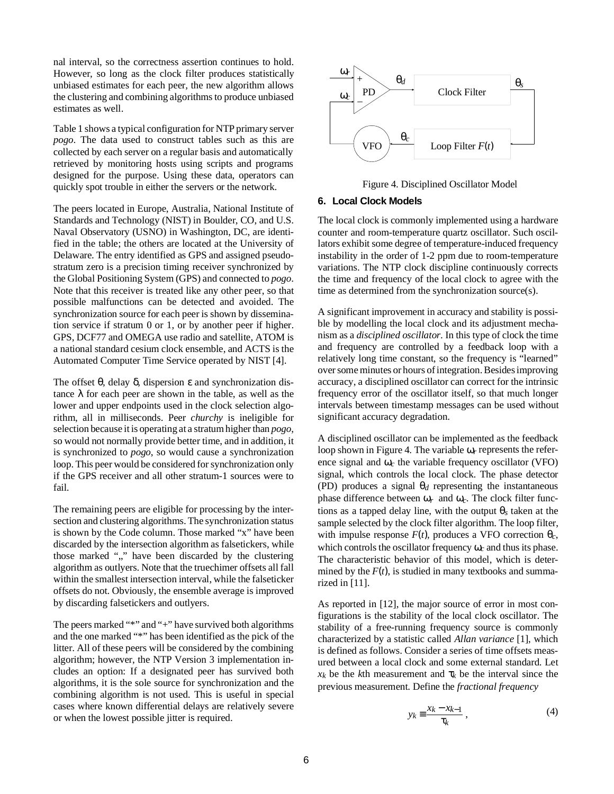nal interval, so the correctness assertion continues to hold. However, so long as the clock filter produces statistically unbiased estimates for each peer, the new algorithm allows the clustering and combining algorithms to produce unbiased estimates as well.

Table 1 shows a typical configuration for NTP primary server *pogo*. The data used to construct tables such as this are collected by each server on a regular basis and automatically retrieved by monitoring hosts using scripts and programs designed for the purpose. Using these data, operators can quickly spot trouble in either the servers or the network.

The peers located in Europe, Australia, National Institute of Standards and Technology (NIST) in Boulder, CO, and U.S. Naval Observatory (USNO) in Washington, DC, are identified in the table; the others are located at the University of Delaware. The entry identified as GPS and assigned pseudostratum zero is a precision timing receiver synchronized by the Global Positioning System (GPS) and connected to *pogo*. Note that this receiver is treated like any other peer, so that possible malfunctions can be detected and avoided. The synchronization source for each peer is shown by dissemination service if stratum 0 or 1, or by another peer if higher. GPS, DCF77 and OMEGA use radio and satellite, ATOM is a national standard cesium clock ensemble, and ACTS is the Automated Computer Time Service operated by NIST [4].

The offset  $\theta$ , delay  $\delta$ , dispersion  $\varepsilon$  and synchronization distance  $\lambda$  for each peer are shown in the table, as well as the lower and upper endpoints used in the clock selection algorithm, all in milliseconds. Peer *churchy* is ineligible for selection because it is operating at a stratum higher than *pogo*, so would not normally provide better time, and in addition, it is synchronized to *pogo*, so would cause a synchronization loop. This peer would be considered for synchronization only if the GPS receiver and all other stratum-1 sources were to fail.

The remaining peers are eligible for processing by the intersection and clustering algorithms. The synchronization status is shown by the Code column. Those marked "x" have been discarded by the intersection algorithm as falsetickers, while those marked ",," have been discarded by the clustering algorithm as outlyers. Note that the truechimer offsets all fall within the smallest intersection interval, while the falseticker offsets do not. Obviously, the ensemble average is improved by discarding falsetickers and outlyers.

The peers marked "\*" and "+" have survived both algorithms and the one marked "\*" has been identified as the pick of the litter. All of these peers will be considered by the combining algorithm; however, the NTP Version 3 implementation includes an option: If a designated peer has survived both algorithms, it is the sole source for synchronization and the combining algorithm is not used. This is useful in special cases where known differential delays are relatively severe or when the lowest possible jitter is required.



Figure 4. Disciplined Oscillator Model

#### **6. Local Clock Models**

The local clock is commonly implemented using a hardware counter and room-temperature quartz oscillator. Such oscillators exhibit some degree of temperature-induced frequency instability in the order of 1-2 ppm due to room-temperature variations. The NTP clock discipline continuously corrects the time and frequency of the local clock to agree with the time as determined from the synchronization source(s).

A significant improvement in accuracy and stability is possible by modelling the local clock and its adjustment mechanism as a *disciplined oscillator*. In this type of clock the time and frequency are controlled by a feedback loop with a relatively long time constant, so the frequency is "learned" over some minutes or hours of integration. Besides improving accuracy, a disciplined oscillator can correct for the intrinsic frequency error of the oscillator itself, so that much longer intervals between timestamp messages can be used without significant accuracy degradation.

A disciplined oscillator can be implemented as the feedback loop shown in Figure 4. The variable ω*r* represents the reference signal and  $\omega_c$  the variable frequency oscillator (VFO) signal, which controls the local clock. The phase detector (PD) produces a signal  $\theta_d$  representing the instantaneous phase difference between  $\omega_r$  and  $\omega_c$ . The clock filter functions as a tapped delay line, with the output θ*s* taken at the sample selected by the clock filter algorithm. The loop filter, with impulse response  $F(t)$ , produces a VFO correction  $\theta_c$ , which controls the oscillator frequency ω*c* and thus its phase. The characteristic behavior of this model, which is determined by the  $F(t)$ , is studied in many textbooks and summarized in [11].

As reported in [12], the major source of error in most configurations is the stability of the local clock oscillator. The stability of a free-running frequency source is commonly characterized by a statistic called *Allan variance* [1], which is defined as follows. Consider a series of time offsets measured between a local clock and some external standard. Let  $x_k$  be the *k*th measurement and  $\tau_k$  be the interval since the previous measurement. Define the *fractional frequency*

$$
y_k \equiv \frac{x_k - x_{k-1}}{\tau_k} \,,\tag{4}
$$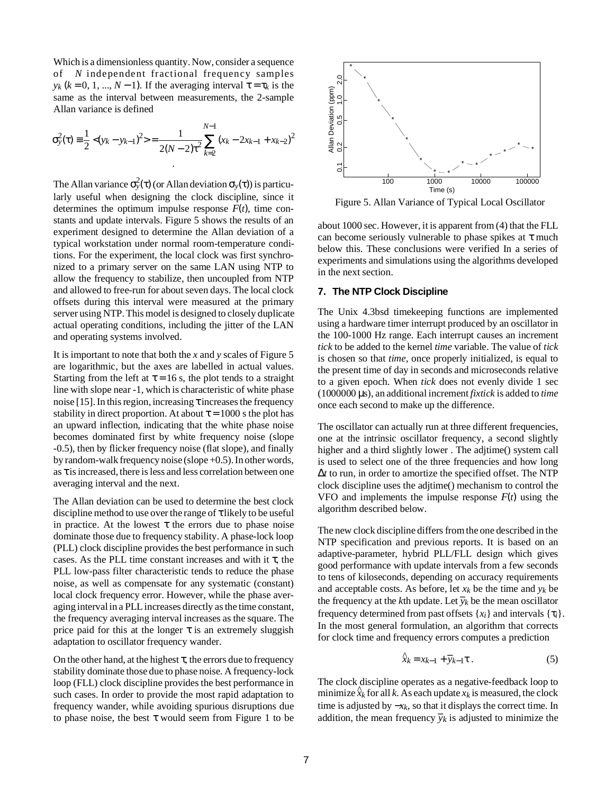Which is a dimensionless quantity. Now, consider a sequence of *N* independent fractional frequency samples *y<sub>k</sub>* ( $k = 0, 1, ..., N - 1$ ). If the averaging interval  $\tau = \tau_k$  is the same as the interval between measurements, the 2-sample Allan variance is defined

$$
\sigma_y^2(\tau) = \frac{1}{2} < (y_k - y_{k-1})^2 > \frac{1}{2(N-2)\tau^2} \sum_{k=2}^{N-1} (x_k - 2x_{k-1} + x_{k-2})^2
$$

The Allan variance  $\sigma_y^2(\tau)$  (or Allan deviation  $\sigma_y(\tau)$ ) is particularly useful when designing the clock discipline, since it determines the optimum impulse response  $F(t)$ , time constants and update intervals. Figure 5 shows the results of an experiment designed to determine the Allan deviation of a typical workstation under normal room-temperature conditions. For the experiment, the local clock was first synchronized to a primary server on the same LAN using NTP to allow the frequency to stabilize, then uncoupled from NTP and allowed to free-run for about seven days. The local clock offsets during this interval were measured at the primary server using NTP. This model is designed to closely duplicate actual operating conditions, including the jitter of the LAN and operating systems involved.

It is important to note that both the *x* and *y* scales of Figure 5 are logarithmic, but the axes are labelled in actual values. Starting from the left at  $\tau = 16$  s, the plot tends to a straight line with slope near -1, which is characteristic of white phase noise [15]. In this region, increasing  $\tau$  increases the frequency stability in direct proportion. At about  $\tau = 1000$  s the plot has an upward inflection, indicating that the white phase noise becomes dominated first by white frequency noise (slope -0.5), then by flicker frequency noise (flat slope), and finally by random-walk frequency noise (slope +0.5). In other words, as τ is increased, there is less and less correlation between one averaging interval and the next.

The Allan deviation can be used to determine the best clock discipline method to use over the range of  $\tau$  likely to be useful in practice. At the lowest  $\tau$  the errors due to phase noise dominate those due to frequency stability. A phase-lock loop (PLL) clock discipline provides the best performance in such cases. As the PLL time constant increases and with it  $\tau$ , the PLL low-pass filter characteristic tends to reduce the phase noise, as well as compensate for any systematic (constant) local clock frequency error. However, while the phase averaging interval in a PLL increases directly as the time constant, the frequency averaging interval increases as the square. The price paid for this at the longer  $\tau$  is an extremely sluggish adaptation to oscillator frequency wander.

On the other hand, at the highest  $\tau$ , the errors due to frequency stability dominate those due to phase noise. A frequency-lock loop (FLL) clock discipline provides the best performance in such cases. In order to provide the most rapid adaptation to frequency wander, while avoiding spurious disruptions due to phase noise, the best  $\tau$  would seem from Figure 1 to be



Figure 5. Allan Variance of Typical Local Oscillator

about 1000 sec. However, it is apparent from (4) that the FLL can become seriously vulnerable to phase spikes at  $\tau$  much below this. These conclusions were verified In a series of experiments and simulations using the algorithms developed in the next section.

## **7. The NTP Clock Discipline**

The Unix 4.3bsd timekeeping functions are implemented using a hardware timer interrupt produced by an oscillator in the 100-1000 Hz range. Each interrupt causes an increment *tick* to be added to the kernel *time* variable. The value of *tick* is chosen so that *time*, once properly initialized, is equal to the present time of day in seconds and microseconds relative to a given epoch. When *tick* does not evenly divide 1 sec (1000000 µs), an additional increment *fixtick* is added to *time* once each second to make up the difference.

The oscillator can actually run at three different frequencies, one at the intrinsic oscillator frequency, a second slightly higher and a third slightly lower. The adjtime() system call is used to select one of the three frequencies and how long ∆*t* to run, in order to amortize the specified offset. The NTP clock discipline uses the adjtime() mechanism to control the VFO and implements the impulse response  $F(t)$  using the algorithm described below.

The new clock discipline differs from the one described in the NTP specification and previous reports. It is based on an adaptive-parameter, hybrid PLL/FLL design which gives good performance with update intervals from a few seconds to tens of kiloseconds, depending on accuracy requirements and acceptable costs. As before, let  $x_k$  be the time and  $y_k$  be the frequency at the *k*th update. Let  $\bar{y}_k$  be the mean oscillator frequency determined from past offsets  $\{x_i\}$  and intervals  $\{\tau_i\}$ . In the most general formulation, an algorithm that corrects for clock time and frequency errors computes a prediction

$$
\hat{x}_k = x_{k-1} + \overline{y}_{k-1} \tau \tag{5}
$$

The clock discipline operates as a negative-feedback loop to minimize  $\hat{x}_k$  for all *k*. As each update  $x_k$  is measured, the clock time is adjusted by  $-x_k$ , so that it displays the correct time. In addition, the mean frequency  $\bar{y}_k$  is adjusted to minimize the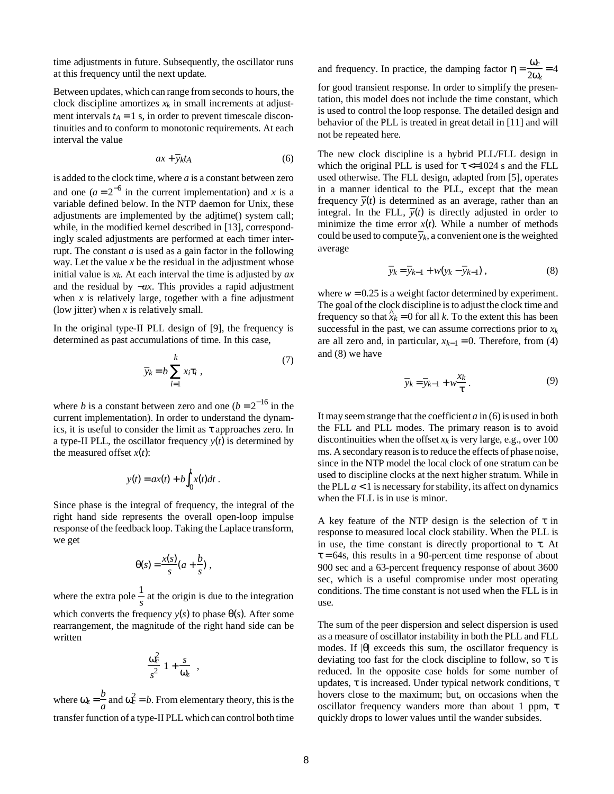time adjustments in future. Subsequently, the oscillator runs at this frequency until the next update.

Between updates, which can range from seconds to hours, the clock discipline amortizes  $x_k$  in small increments at adjustment intervals  $t_A = 1$  s, in order to prevent timescale discontinuities and to conform to monotonic requirements. At each interval the value

$$
ax + \overline{y}_k tA \tag{6}
$$

is added to the clock time, where *a* is a constant between zero and one  $(a = 2^{-6}$  in the current implementation) and *x* is a variable defined below. In the NTP daemon for Unix, these adjustments are implemented by the adjtime() system call; while, in the modified kernel described in [13], correspondingly scaled adjustments are performed at each timer interrupt. The constant *a* is used as a gain factor in the following way. Let the value *x* be the residual in the adjustment whose initial value is *xk*. At each interval the time is adjusted by *ax* and the residual by −*ax*. This provides a rapid adjustment when  $x$  is relatively large, together with a fine adjustment (low jitter) when  $x$  is relatively small.

In the original type-II PLL design of [9], the frequency is determined as past accumulations of time. In this case,

$$
\overline{y}_k = b \sum_{i=1}^k x_i \tau_i , \qquad (7)
$$

where *b* is a constant between zero and one ( $b = 2^{-16}$  in the current implementation). In order to understand the dynamics, it is useful to consider the limit as τ approaches zero. In a type-II PLL, the oscillator frequency  $y(t)$  is determined by the measured offset  $x(t)$ :

$$
y(t) = ax(t) + b \int_0^t x(t) dt.
$$

Since phase is the integral of frequency, the integral of the right hand side represents the overall open-loop impulse response of the feedback loop. Taking the Laplace transform, we get

$$
\theta(s) = \frac{x(s)}{s}(a + \frac{b}{s}) ,
$$

where the extra pole  $\frac{1}{s}$  at the origin is due to the integration which converts the frequency  $y(s)$  to phase  $\theta(s)$ . After some rearrangement, the magnitude of the right hand side can be written

$$
\frac{\omega_c^2}{s^2}\bigg(1+\frac{s}{\omega_z}\bigg),\,
$$

where  $\omega_z = \frac{b}{a}$  and  $\omega_c^2 = b$ . From elementary theory, this is the transfer function of a type-II PLL which can control both time and frequency. In practice, the damping factor  $\eta = \frac{\omega_c}{2\omega_z} = 4$ 

for good transient response. In order to simplify the presentation, this model does not include the time constant, which is used to control the loop response. The detailed design and behavior of the PLL is treated in great detail in [11] and will not be repeated here.

The new clock discipline is a hybrid PLL/FLL design in which the original PLL is used for  $\tau \le 1024$  s and the FLL used otherwise. The FLL design, adapted from [5], operates in a manner identical to the PLL, except that the mean \_ frequency  $\bar{y}(t)$  is determined as an average, rather than an integral. In the FLL,  $\bar{y}(t)$  is directly adjusted in order to minimize the time error  $x(t)$ . While a number of methods could be used to compute  $\bar{y}_k$ , a convenient one is the weighted average

$$
\overline{y}_k = \overline{y}_{k-1} + w(y_k - \overline{y}_{k-1}),
$$
\n(8)

where  $w = 0.25$  is a weight factor determined by experiment. The goal of the clock discipline is to adjust the clock time and frequency so that  $\hat{x}_k = 0$  for all *k*. To the extent this has been successful in the past, we can assume corrections prior to *xk* are all zero and, in particular,  $x_{k-1} = 0$ . Therefore, from (4) and (8) we have

$$
\overline{y}_k = \overline{y}_{k-1} + w \frac{x_k}{\tau} \,. \tag{9}
$$

It may seem strange that the coefficient *a* in (6) is used in both the FLL and PLL modes. The primary reason is to avoid discontinuities when the offset  $x_k$  is very large, e.g., over 100 ms. A secondary reason is to reduce the effects of phase noise, since in the NTP model the local clock of one stratum can be used to discipline clocks at the next higher stratum. While in the PLL  $a < 1$  is necessary for stability, its affect on dynamics when the FLL is in use is minor.

A key feature of the NTP design is the selection of  $\tau$  in response to measured local clock stability. When the PLL is in use, the time constant is directly proportional to  $\tau$ . At  $\tau$  = 64s, this results in a 90-percent time response of about 900 sec and a 63-percent frequency response of about 3600 sec, which is a useful compromise under most operating conditions. The time constant is not used when the FLL is in use.

The sum of the peer dispersion and select dispersion is used as a measure of oscillator instability in both the PLL and FLL modes. If  $|\theta|$  exceeds this sum, the oscillator frequency is deviating too fast for the clock discipline to follow, so  $\tau$  is reduced. In the opposite case holds for some number of updates, τ is increased. Under typical network conditions, τ hovers close to the maximum; but, on occasions when the oscillator frequency wanders more than about 1 ppm,  $\tau$ quickly drops to lower values until the wander subsides.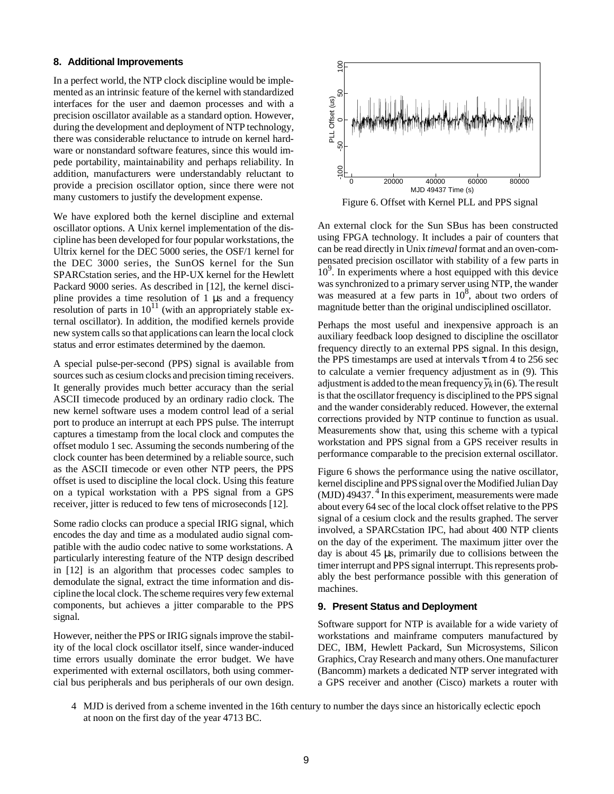#### **8. Additional Improvements**

In a perfect world, the NTP clock discipline would be implemented as an intrinsic feature of the kernel with standardized interfaces for the user and daemon processes and with a precision oscillator available as a standard option. However, during the development and deployment of NTP technology, there was considerable reluctance to intrude on kernel hardware or nonstandard software features, since this would impede portability, maintainability and perhaps reliability. In addition, manufacturers were understandably reluctant to provide a precision oscillator option, since there were not many customers to justify the development expense.

We have explored both the kernel discipline and external oscillator options. A Unix kernel implementation of the discipline has been developed for four popular workstations, the Ultrix kernel for the DEC 5000 series, the OSF/1 kernel for the DEC 3000 series, the SunOS kernel for the Sun SPARCstation series, and the HP-UX kernel for the Hewlett Packard 9000 series. As described in [12], the kernel discipline provides a time resolution of 1 µs and a frequency resolution of parts in  $10^{11}$  (with an appropriately stable external oscillator). In addition, the modified kernels provide new system calls so that applications can learn the local clock status and error estimates determined by the daemon.

A special pulse-per-second (PPS) signal is available from sources such as cesium clocks and precision timing receivers. It generally provides much better accuracy than the serial ASCII timecode produced by an ordinary radio clock. The new kernel software uses a modem control lead of a serial port to produce an interrupt at each PPS pulse. The interrupt captures a timestamp from the local clock and computes the offset modulo 1 sec. Assuming the seconds numbering of the clock counter has been determined by a reliable source, such as the ASCII timecode or even other NTP peers, the PPS offset is used to discipline the local clock. Using this feature on a typical workstation with a PPS signal from a GPS receiver, jitter is reduced to few tens of microseconds [12].

Some radio clocks can produce a special IRIG signal, which encodes the day and time as a modulated audio signal compatible with the audio codec native to some workstations. A particularly interesting feature of the NTP design described in [12] is an algorithm that processes codec samples to demodulate the signal, extract the time information and discipline the local clock. The scheme requires very few external components, but achieves a jitter comparable to the PPS signal.

However, neither the PPS or IRIG signals improve the stability of the local clock oscillator itself, since wander-induced time errors usually dominate the error budget. We have experimented with external oscillators, both using commercial bus peripherals and bus peripherals of our own design.



Figure 6. Offset with Kernel PLL and PPS signal

An external clock for the Sun SBus has been constructed using FPGA technology. It includes a pair of counters that can be read directly in Unix *timeval* format and an oven-compensated precision oscillator with stability of a few parts in  $10<sup>9</sup>$ . In experiments where a host equipped with this device was synchronized to a primary server using NTP, the wander was measured at a few parts in  $10^8$ , about two orders of magnitude better than the original undisciplined oscillator.

Perhaps the most useful and inexpensive approach is an auxiliary feedback loop designed to discipline the oscillator frequency directly to an external PPS signal. In this design, the PPS timestamps are used at intervals  $\tau$  from 4 to 256 sec to calculate a vernier frequency adjustment as in (9). This \_ adjustment is added to the mean frequency  $\overline{y}_k$  in (6). The result is that the oscillator frequency is disciplined to the PPS signal and the wander considerably reduced. However, the external corrections provided by NTP continue to function as usual. Measurements show that, using this scheme with a typical workstation and PPS signal from a GPS receiver results in performance comparable to the precision external oscillator.

Figure 6 shows the performance using the native oscillator, kernel discipline and PPS signal over the Modified Julian Day  $(MJD)$  49437.<sup>4</sup> In this experiment, measurements were made about every 64 sec of the local clock offset relative to the PPS signal of a cesium clock and the results graphed. The server involved, a SPARCstation IPC, had about 400 NTP clients on the day of the experiment. The maximum jitter over the day is about 45 µs, primarily due to collisions between the timer interrupt and PPS signal interrupt. This represents probably the best performance possible with this generation of machines.

## **9. Present Status and Deployment**

Software support for NTP is available for a wide variety of workstations and mainframe computers manufactured by DEC, IBM, Hewlett Packard, Sun Microsystems, Silicon Graphics, Cray Research and many others. One manufacturer (Bancomm) markets a dedicated NTP server integrated with a GPS receiver and another (Cisco) markets a router with

4 MJD is derived from a scheme invented in the 16th century to number the days since an historically eclectic epoch at noon on the first day of the year 4713 BC.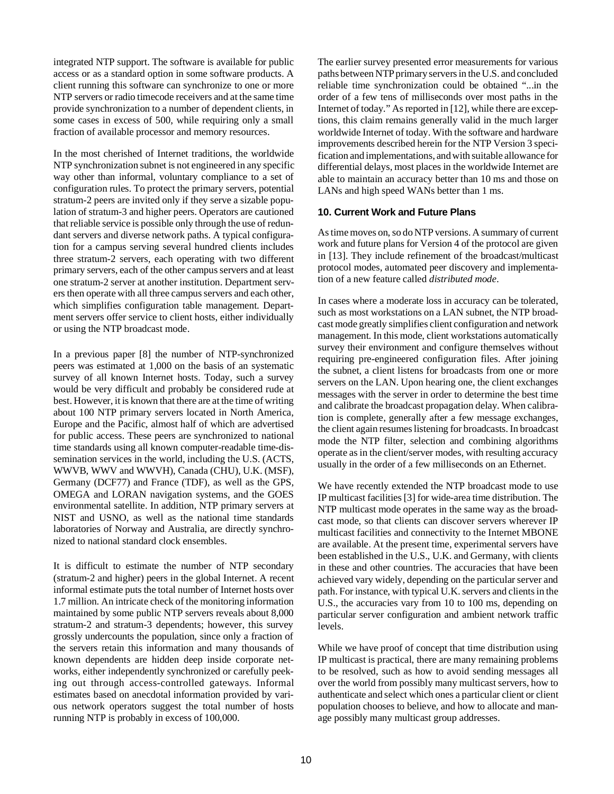integrated NTP support. The software is available for public access or as a standard option in some software products. A client running this software can synchronize to one or more NTP servers or radio timecode receivers and at the same time provide synchronization to a number of dependent clients, in some cases in excess of 500, while requiring only a small fraction of available processor and memory resources.

In the most cherished of Internet traditions, the worldwide NTP synchronization subnet is not engineered in any specific way other than informal, voluntary compliance to a set of configuration rules. To protect the primary servers, potential stratum-2 peers are invited only if they serve a sizable population of stratum-3 and higher peers. Operators are cautioned that reliable service is possible only through the use of redundant servers and diverse network paths. A typical configuration for a campus serving several hundred clients includes three stratum-2 servers, each operating with two different primary servers, each of the other campus servers and at least one stratum-2 server at another institution. Department servers then operate with all three campus servers and each other, which simplifies configuration table management. Department servers offer service to client hosts, either individually or using the NTP broadcast mode.

In a previous paper [8] the number of NTP-synchronized peers was estimated at 1,000 on the basis of an systematic survey of all known Internet hosts. Today, such a survey would be very difficult and probably be considered rude at best. However, it is known that there are at the time of writing about 100 NTP primary servers located in North America, Europe and the Pacific, almost half of which are advertised for public access. These peers are synchronized to national time standards using all known computer-readable time-dissemination services in the world, including the U.S. (ACTS, WWVB, WWV and WWVH), Canada (CHU), U.K. (MSF), Germany (DCF77) and France (TDF), as well as the GPS, OMEGA and LORAN navigation systems, and the GOES environmental satellite. In addition, NTP primary servers at NIST and USNO, as well as the national time standards laboratories of Norway and Australia, are directly synchronized to national standard clock ensembles.

It is difficult to estimate the number of NTP secondary (stratum-2 and higher) peers in the global Internet. A recent informal estimate puts the total number of Internet hosts over 1.7 million. An intricate check of the monitoring information maintained by some public NTP servers reveals about 8,000 stratum-2 and stratum-3 dependents; however, this survey grossly undercounts the population, since only a fraction of the servers retain this information and many thousands of known dependents are hidden deep inside corporate networks, either independently synchronized or carefully peeking out through access-controlled gateways. Informal estimates based on anecdotal information provided by various network operators suggest the total number of hosts running NTP is probably in excess of 100,000.

The earlier survey presented error measurements for various paths between NTP primary servers in the U.S. and concluded reliable time synchronization could be obtained "...in the order of a few tens of milliseconds over most paths in the Internet of today." As reported in [12], while there are exceptions, this claim remains generally valid in the much larger worldwide Internet of today. With the software and hardware improvements described herein for the NTP Version 3 specification and implementations, and with suitable allowance for differential delays, most places in the worldwide Internet are able to maintain an accuracy better than 10 ms and those on LANs and high speed WANs better than 1 ms.

## **10. Current Work and Future Plans**

As time moves on, so do NTP versions. A summary of current work and future plans for Version 4 of the protocol are given in [13]. They include refinement of the broadcast/multicast protocol modes, automated peer discovery and implementation of a new feature called *distributed mode*.

In cases where a moderate loss in accuracy can be tolerated, such as most workstations on a LAN subnet, the NTP broadcast mode greatly simplifies client configuration and network management. In this mode, client workstations automatically survey their environment and configure themselves without requiring pre-engineered configuration files. After joining the subnet, a client listens for broadcasts from one or more servers on the LAN. Upon hearing one, the client exchanges messages with the server in order to determine the best time and calibrate the broadcast propagation delay. When calibration is complete, generally after a few message exchanges, the client again resumes listening for broadcasts. In broadcast mode the NTP filter, selection and combining algorithms operate as in the client/server modes, with resulting accuracy usually in the order of a few milliseconds on an Ethernet.

We have recently extended the NTP broadcast mode to use IP multicast facilities [3] for wide-area time distribution. The NTP multicast mode operates in the same way as the broadcast mode, so that clients can discover servers wherever IP multicast facilities and connectivity to the Internet MBONE are available. At the present time, experimental servers have been established in the U.S., U.K. and Germany, with clients in these and other countries. The accuracies that have been achieved vary widely, depending on the particular server and path. For instance, with typical U.K. servers and clients in the U.S., the accuracies vary from 10 to 100 ms, depending on particular server configuration and ambient network traffic levels.

While we have proof of concept that time distribution using IP multicast is practical, there are many remaining problems to be resolved, such as how to avoid sending messages all over the world from possibly many multicast servers, how to authenticate and select which ones a particular client or client population chooses to believe, and how to allocate and manage possibly many multicast group addresses.